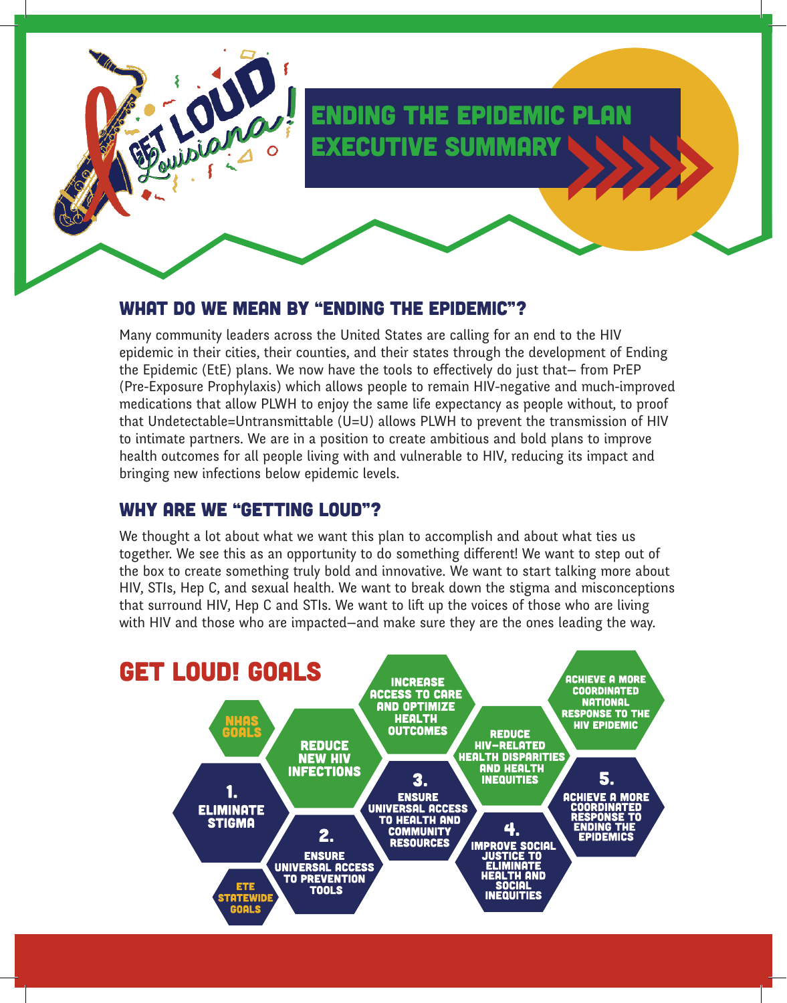## ending the epidemic plan executive summary

#### what do we mean by "ending the epidemic"?

Many community leaders across the United States are calling for an end to the HIV epidemic in their cities, their counties, and their states through the development of Ending the Epidemic (EtE) plans. We now have the tools to effectively do just that— from PrEP (Pre-Exposure Prophylaxis) which allows people to remain HIV-negative and much-improved medications that allow PLWH to enjoy the same life expectancy as people without, to proof that Undetectable=Untransmittable (U=U) allows PLWH to prevent the transmission of HIV to intimate partners. We are in a position to create ambitious and bold plans to improve health outcomes for all people living with and vulnerable to HIV, reducing its impact and bringing new infections below epidemic levels.

#### WHY ARE WE "GETTING LOUD"?

We thought a lot about what we want this plan to accomplish and about what ties us together. We see this as an opportunity to do something different! We want to step out of the box to create something truly bold and innovative. We want to start talking more about HIV, STIs, Hep C, and sexual health. We want to break down the stigma and misconceptions that surround HIV, Hep C and STIs. We want to lift up the voices of those who are living with HIV and those who are impacted—and make sure they are the ones leading the way.

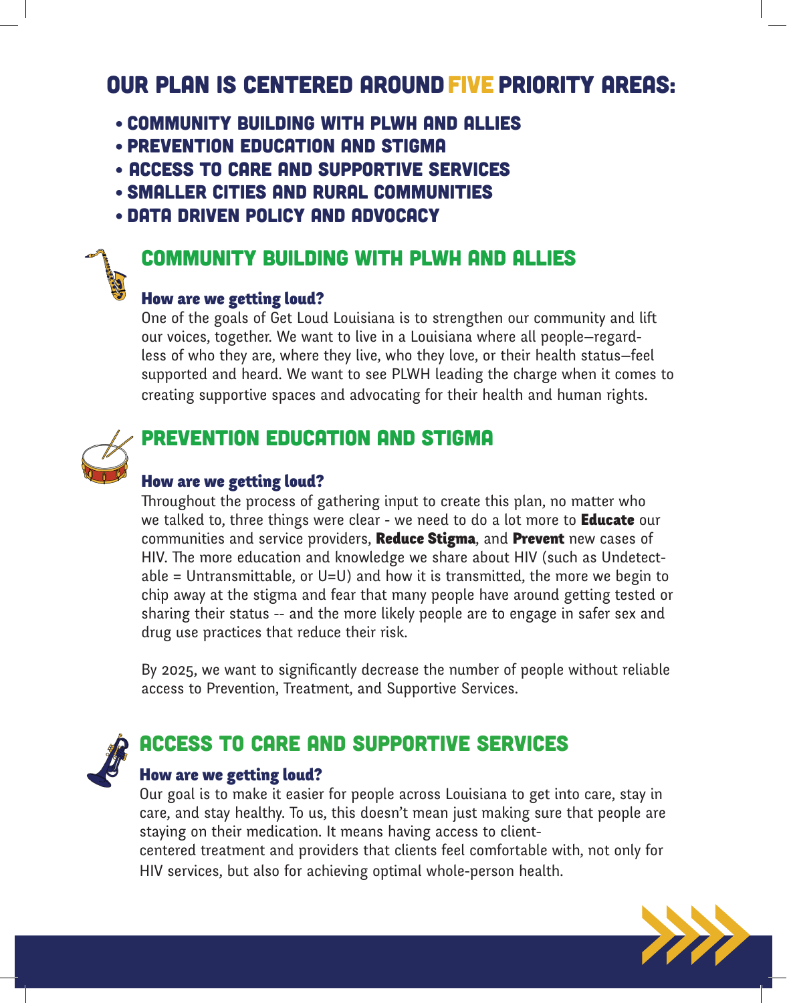## OUR PLAN IS CENTERED AROUND FIVE PRIORITY AREAS:

- Community Building with PLWH and Allies
- Prevention Education and Stigma
- Access to Care and Supportive Services
- Smaller Cities and Rural Communities
- Data Driven Policy and Advocacy

## Community Building with PLWH and Allies

#### How are we getting loud?

One of the goals of Get Loud Louisiana is to strengthen our community and lift our voices, together. We want to live in a Louisiana where all people—regardless of who they are, where they live, who they love, or their health status—feel supported and heard. We want to see PLWH leading the charge when it comes to creating supportive spaces and advocating for their health and human rights.



### PREVENTION EDUCATION AND STIGMA

#### How are we getting loud?

Throughout the process of gathering input to create this plan, no matter who we talked to, three things were clear - we need to do a lot more to **Educate** our communities and service providers, Reduce Stigma, and Prevent new cases of HIV. The more education and knowledge we share about HIV (such as Undetectable = Untransmittable, or U=U) and how it is transmitted, the more we begin to chip away at the stigma and fear that many people have around getting tested or sharing their status -- and the more likely people are to engage in safer sex and drug use practices that reduce their risk.

By 2025, we want to significantly decrease the number of people without reliable access to Prevention, Treatment, and Supportive Services.



## Access to Care and Supportive Services

#### How are we getting loud?

Our goal is to make it easier for people across Louisiana to get into care, stay in care, and stay healthy. To us, this doesn't mean just making sure that people are staying on their medication. It means having access to client-

centered treatment and providers that clients feel comfortable with, not only for HIV services, but also for achieving optimal whole-person health.

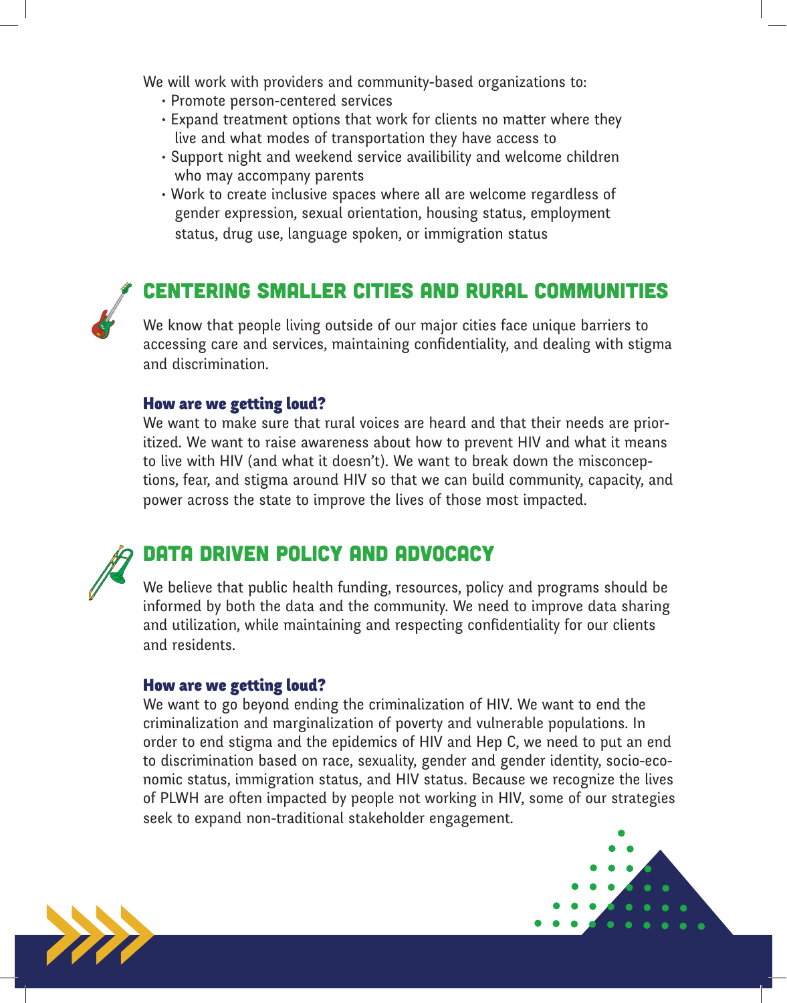We will work with providers and community-based organizations to:

- Promote person-centered services
- Expand treatment options that work for clients no matter where they live and what modes of transportation they have access to
- Support night and weekend service availibility and welcome children who may accompany parents
- Work to create inclusive spaces where all are welcome regardless of gender expression, sexual orientation, housing status, employment status, drug use, language spoken, or immigration status

## centering Smaller Cities and Rural Communities

We know that people living outside of our major cities face unique barriers to accessing care and services, maintaining confidentiality, and dealing with stigma and discrimination.

#### How are we getting loud?

We want to make sure that rural voices are heard and that their needs are prioritized. We want to raise awareness about how to prevent HIV and what it means to live with HIV (and what it doesn't). We want to break down the misconceptions, fear, and stigma around HIV so that we can build community, capacity, and power across the state to improve the lives of those most impacted.

## Data Driven Policy and Advocacy

We believe that public health funding, resources, policy and programs should be informed by both the data and the community. We need to improve data sharing and utilization, while maintaining and respecting confidentiality for our clients and residents.

#### How are we getting loud?

We want to go beyond ending the criminalization of HIV. We want to end the criminalization and marginalization of poverty and vulnerable populations. In order to end stigma and the epidemics of HIV and Hep C, we need to put an end to discrimination based on race, sexuality, gender and gender identity, socio-economic status, immigration status, and HIV status. Because we recognize the lives of PLWH are often impacted by people not working in HIV, some of our strategies seek to expand non-traditional stakeholder engagement.